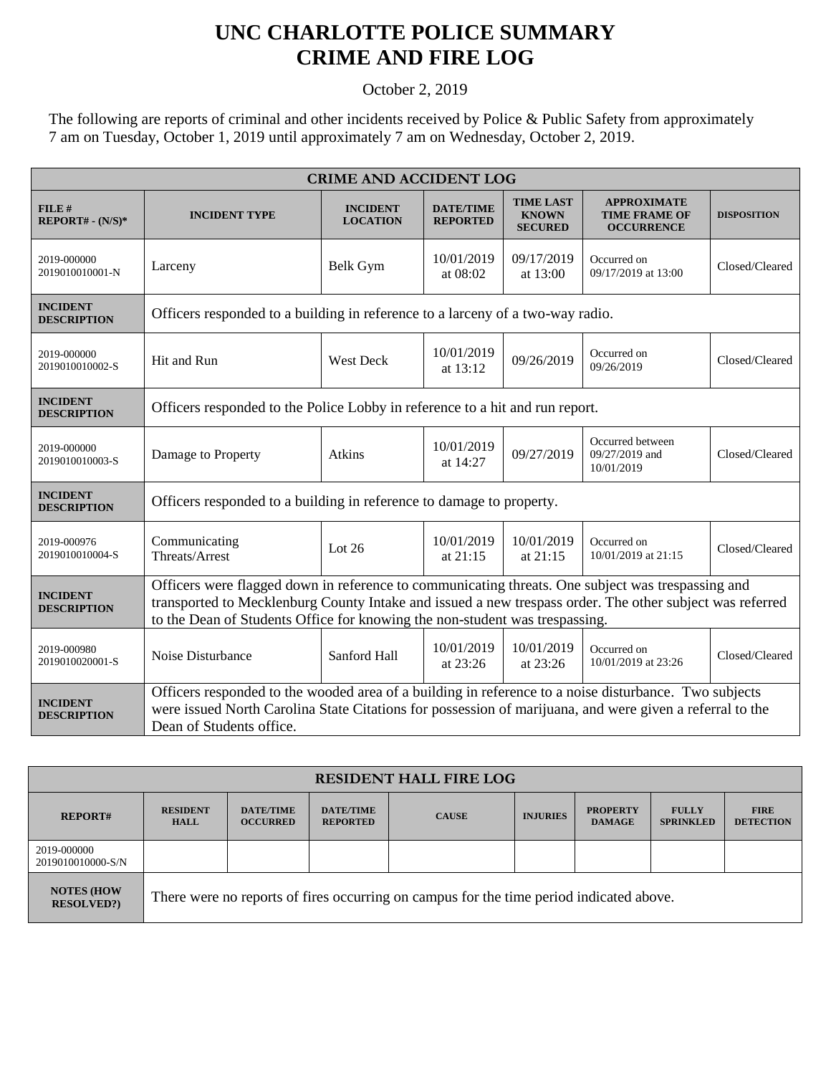## **UNC CHARLOTTE POLICE SUMMARY CRIME AND FIRE LOG**

October 2, 2019

The following are reports of criminal and other incidents received by Police & Public Safety from approximately 7 am on Tuesday, October 1, 2019 until approximately 7 am on Wednesday, October 2, 2019.

| <b>CRIME AND ACCIDENT LOG</b>         |                                                                                                                                                                                                                                                                                              |                                    |                                     |                                                    |                                                                 |                    |  |
|---------------------------------------|----------------------------------------------------------------------------------------------------------------------------------------------------------------------------------------------------------------------------------------------------------------------------------------------|------------------------------------|-------------------------------------|----------------------------------------------------|-----------------------------------------------------------------|--------------------|--|
| FILE#<br>$REPORT# - (N/S)*$           | <b>INCIDENT TYPE</b>                                                                                                                                                                                                                                                                         | <b>INCIDENT</b><br><b>LOCATION</b> | <b>DATE/TIME</b><br><b>REPORTED</b> | <b>TIME LAST</b><br><b>KNOWN</b><br><b>SECURED</b> | <b>APPROXIMATE</b><br><b>TIME FRAME OF</b><br><b>OCCURRENCE</b> | <b>DISPOSITION</b> |  |
| 2019-000000<br>2019010010001-N        | Larceny                                                                                                                                                                                                                                                                                      | Belk Gym                           | 10/01/2019<br>at 08:02              | 09/17/2019<br>at 13:00                             | Occurred on<br>09/17/2019 at 13:00                              | Closed/Cleared     |  |
| <b>INCIDENT</b><br><b>DESCRIPTION</b> | Officers responded to a building in reference to a larceny of a two-way radio.                                                                                                                                                                                                               |                                    |                                     |                                                    |                                                                 |                    |  |
| 2019-000000<br>2019010010002-S        | Hit and Run                                                                                                                                                                                                                                                                                  | <b>West Deck</b>                   | 10/01/2019<br>at $13:12$            | 09/26/2019                                         | Occurred on<br>09/26/2019                                       | Closed/Cleared     |  |
| <b>INCIDENT</b><br><b>DESCRIPTION</b> | Officers responded to the Police Lobby in reference to a hit and run report.                                                                                                                                                                                                                 |                                    |                                     |                                                    |                                                                 |                    |  |
| 2019-000000<br>2019010010003-S        | Damage to Property                                                                                                                                                                                                                                                                           | Atkins                             | 10/01/2019<br>at 14:27              | 09/27/2019                                         | Occurred between<br>09/27/2019 and<br>10/01/2019                | Closed/Cleared     |  |
| <b>INCIDENT</b><br><b>DESCRIPTION</b> | Officers responded to a building in reference to damage to property.                                                                                                                                                                                                                         |                                    |                                     |                                                    |                                                                 |                    |  |
| 2019-000976<br>2019010010004-S        | Communicating<br>Threats/Arrest                                                                                                                                                                                                                                                              | Lot $26$                           | 10/01/2019<br>at 21:15              | 10/01/2019<br>at $21:15$                           | Occurred on<br>10/01/2019 at 21:15                              | Closed/Cleared     |  |
| <b>INCIDENT</b><br><b>DESCRIPTION</b> | Officers were flagged down in reference to communicating threats. One subject was trespassing and<br>transported to Mecklenburg County Intake and issued a new trespass order. The other subject was referred<br>to the Dean of Students Office for knowing the non-student was trespassing. |                                    |                                     |                                                    |                                                                 |                    |  |
| 2019-000980<br>2019010020001-S        | Noise Disturbance                                                                                                                                                                                                                                                                            | Sanford Hall                       | 10/01/2019<br>at $23:26$            | 10/01/2019<br>at 23:26                             | Occurred on<br>10/01/2019 at 23:26                              | Closed/Cleared     |  |
| <b>INCIDENT</b><br><b>DESCRIPTION</b> | Officers responded to the wooded area of a building in reference to a noise disturbance. Two subjects<br>were issued North Carolina State Citations for possession of marijuana, and were given a referral to the<br>Dean of Students office.                                                |                                    |                                     |                                                    |                                                                 |                    |  |

| <b>RESIDENT HALL FIRE LOG</b>         |                                                                                         |                                     |                                     |              |                 |                                  |                                  |                                 |
|---------------------------------------|-----------------------------------------------------------------------------------------|-------------------------------------|-------------------------------------|--------------|-----------------|----------------------------------|----------------------------------|---------------------------------|
| <b>REPORT#</b>                        | <b>RESIDENT</b><br><b>HALL</b>                                                          | <b>DATE/TIME</b><br><b>OCCURRED</b> | <b>DATE/TIME</b><br><b>REPORTED</b> | <b>CAUSE</b> | <b>INJURIES</b> | <b>PROPERTY</b><br><b>DAMAGE</b> | <b>FULLY</b><br><b>SPRINKLED</b> | <b>FIRE</b><br><b>DETECTION</b> |
| 2019-000000<br>2019010010000-S/N      |                                                                                         |                                     |                                     |              |                 |                                  |                                  |                                 |
| <b>NOTES (HOW</b><br><b>RESOLVED?</b> | There were no reports of fires occurring on campus for the time period indicated above. |                                     |                                     |              |                 |                                  |                                  |                                 |